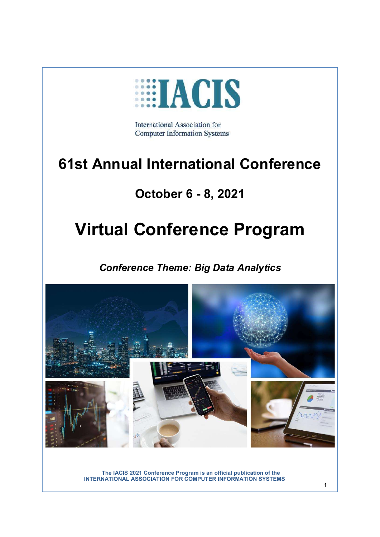

## October 6 - 8, 2021

## Virtual Conference Program

## Conference Theme: Big Data Analytics